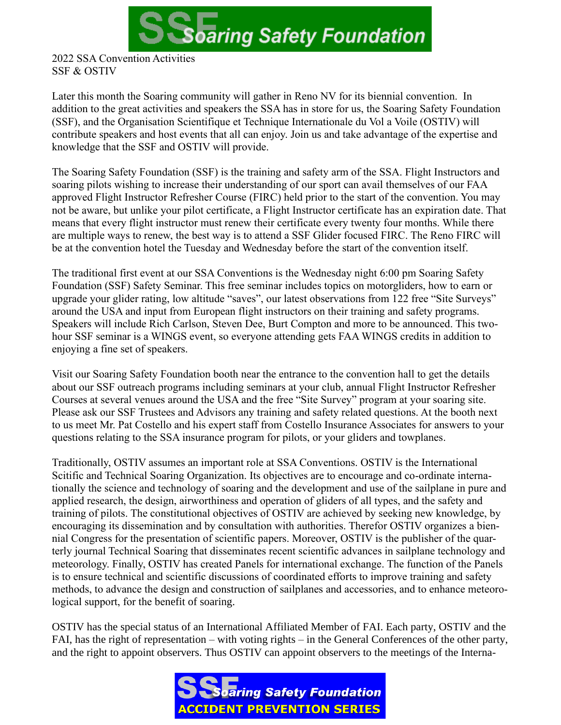

SSF & OSTIV

Later this month the Soaring community will gather in Reno NV for its biennial convention. In addition to the great activities and speakers the SSA has in store for us, the Soaring Safety Foundation (SSF), and the Organisation Scientifique et Technique Internationale du Vol a Voile (OSTIV) will contribute speakers and host events that all can enjoy. Join us and take advantage of the expertise and knowledge that the SSF and OSTIV will provide.

The Soaring Safety Foundation (SSF) is the training and safety arm of the SSA. Flight Instructors and soaring pilots wishing to increase their understanding of our sport can avail themselves of our FAA approved Flight Instructor Refresher Course (FIRC) held prior to the start of the convention. You may not be aware, but unlike your pilot certificate, a Flight Instructor certificate has an expiration date. That means that every flight instructor must renew their certificate every twenty four months. While there are multiple ways to renew, the best way is to attend a SSF Glider focused FIRC. The Reno FIRC will be at the convention hotel the Tuesday and Wednesday before the start of the convention itself.

The traditional first event at our SSA Conventions is the Wednesday night 6:00 pm Soaring Safety Foundation (SSF) Safety Seminar. This free seminar includes topics on motorgliders, how to earn or upgrade your glider rating, low altitude "saves", our latest observations from 122 free "Site Surveys" around the USA and input from European flight instructors on their training and safety programs. Speakers will include Rich Carlson, Steven Dee, Burt Compton and more to be announced. This twohour SSF seminar is a WINGS event, so everyone attending gets FAA WINGS credits in addition to enjoying a fine set of speakers.

Visit our Soaring Safety Foundation booth near the entrance to the convention hall to get the details about our SSF outreach programs including seminars at your club, annual Flight Instructor Refresher Courses at several venues around the USA and the free "Site Survey" program at your soaring site. Please ask our SSF Trustees and Advisors any training and safety related questions. At the booth next to us meet Mr. Pat Costello and his expert staff from Costello Insurance Associates for answers to your questions relating to the SSA insurance program for pilots, or your gliders and towplanes.

Traditionally, OSTIV assumes an important role at SSA Conventions. OSTIV is the International Scitific and Technical Soaring Organization. Its objectives are to encourage and co-ordinate internationally the science and technology of soaring and the development and use of the sailplane in pure and applied research, the design, airworthiness and operation of gliders of all types, and the safety and training of pilots. The constitutional objectives of OSTIV are achieved by seeking new knowledge, by encouraging its dissemination and by consultation with authorities. Therefor OSTIV organizes a biennial Congress for the presentation of scientific papers. Moreover, OSTIV is the publisher of the quarterly journal Technical Soaring that disseminates recent scientific advances in sailplane technology and meteorology. Finally, OSTIV has created Panels for international exchange. The function of the Panels is to ensure technical and scientific discussions of coordinated efforts to improve training and safety methods, to advance the design and construction of sailplanes and accessories, and to enhance meteorological support, for the benefit of soaring.

OSTIV has the special status of an International Affiliated Member of FAI. Each party, OSTIV and the FAI, has the right of representation – with voting rights – in the General Conferences of the other party, and the right to appoint observers. Thus OSTIV can appoint observers to the meetings of the Interna-